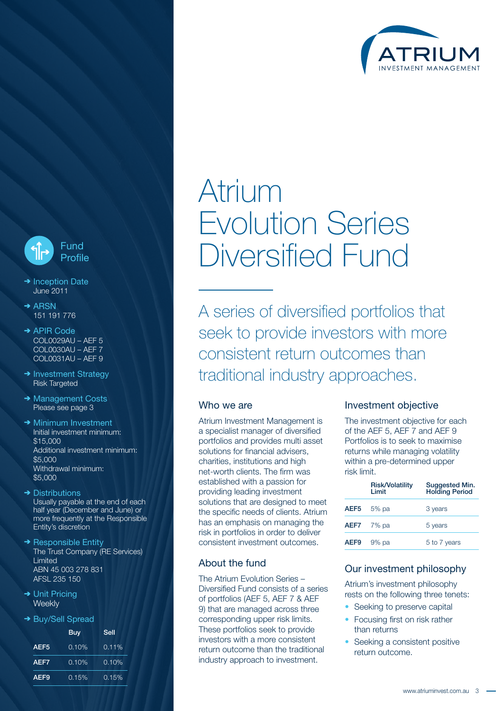



- $\rightarrow$  Inception Date June 2011
- $\rightarrow$  ARSN 151 191 776
- → APIR Code COL0029AU – AEF 5 COL0030AU – AEF 7 COL0031AU – AEF 9
- $\rightarrow$  Investment Strategy Risk Targeted
- → Management Costs Please see page 3
- $\rightarrow$  Minimum Investment Initial investment minimum: \$15,000 Additional investment minimum: \$5,000 Withdrawal minimum: \$5,000
- $\rightarrow$  Distributions Usually payable at the end of each half year (December and June) or more frequently at the Responsible Entity's discretion
- $\rightarrow$  Responsible Entity The Trust Company (RE Services) Limited ABN 45 003 278 831 AFSL 235 150
- → Unit Pricing **Weekly**
- → Buy/Sell Spread

|                  | Buy      | Sell     |  |
|------------------|----------|----------|--|
| AEF <sub>5</sub> | $0.10\%$ | $0.11\%$ |  |
| AEF7             | $0.10\%$ | $0.10\%$ |  |
| AEF <sub>9</sub> | 0.15%    | 0.15%    |  |

# Atrium Evolution Series Diversified Fund

A series of diversified portfolios that seek to provide investors with more consistent return outcomes than traditional industry approaches.

### Who we are

Atrium Investment Management is a specialist manager of diversified portfolios and provides multi asset solutions for financial advisers, charities, institutions and high net-worth clients. The firm was established with a passion for providing leading investment solutions that are designed to meet the specific needs of clients. Atrium has an emphasis on managing the risk in portfolios in order to deliver consistent investment outcomes.

### About the fund

The Atrium Evolution Series – Diversified Fund consists of a series of portfolios (AEF 5, AEF 7 & AEF 9) that are managed across three corresponding upper risk limits. These portfolios seek to provide investors with a more consistent return outcome than the traditional industry approach to investment.

#### Investment objective

The investment objective for each of the AEF 5, AEF 7 and AEF 9 Portfolios is to seek to maximise returns while managing volatility within a pre-determined upper risk limit.

|      | <b>Risk/Volatility</b><br>I imit | Suggested Min.<br>Holding Period |  |
|------|----------------------------------|----------------------------------|--|
| AEF5 | $5%$ pa                          | 3 years                          |  |
|      | $AEF7$ 7% pa                     | 5 years                          |  |
| AEF9 | $9%$ pa                          | 5 to 7 years                     |  |

### Our investment philosophy

Atrium's investment philosophy rests on the following three tenets:

- Seeking to preserve capital
- Focusing first on risk rather than returns
- Seeking a consistent positive return outcome.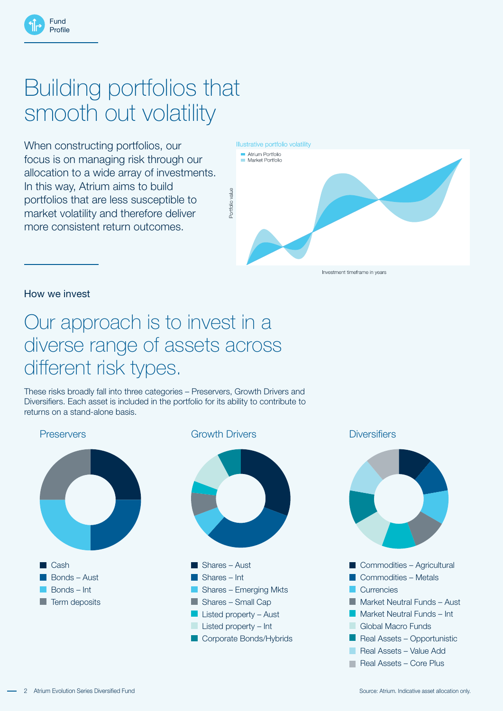## Building portfolios that smooth out volatility

When constructing portfolios, our focus is on managing risk through our allocation to a wide array of investments. In this way, Atrium aims to build portfolios that are less susceptible to market volatility and therefore deliver more consistent return outcomes.

Illustrative portfolio volatility



How we invest

Fund Profile

### Our approach is to invest in a diverse range of assets across different risk types.

These risks broadly fall into three categories – Preservers, Growth Drivers and Diversifiers. Each asset is included in the portfolio for its ability to contribute to returns on a stand-alone basis.



2 Atrium Evolution Series Diversified Fund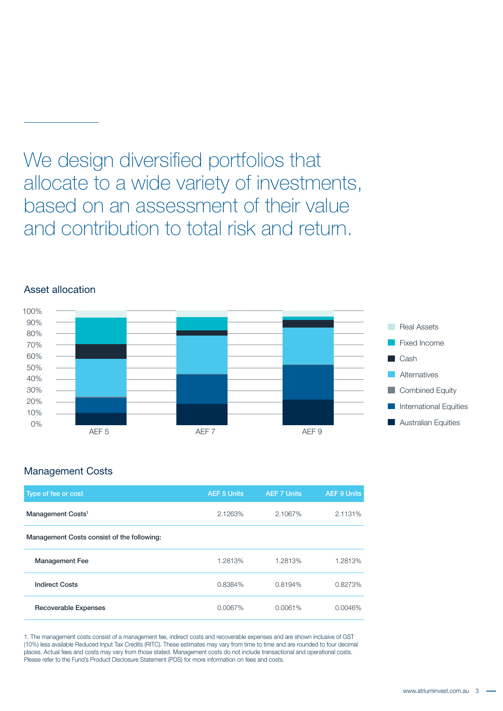### We design diversified portfolios that allocate to a wide variety of investments, based on an assessment of their value and contribution to total risk and return.



### Asset allocation

### Management Costs

| Type of fee or cost                        | <b>AEF 5 Units</b> | <b>AEF 7 Units</b> | <b>AEF 9 Units</b> |
|--------------------------------------------|--------------------|--------------------|--------------------|
| Management Costs <sup>1</sup>              | 2.1263%            | 2.1067%            | 2.1131%            |
| Management Costs consist of the following: |                    |                    |                    |
| <b>Management Fee</b>                      | 1.2813%            | 1.2813%            | 1.2813%            |
| <b>Indirect Costs</b>                      | 0.8384%            | 0.8194%            | 0.8273%            |
| <b>Recoverable Expenses</b>                | 0.0067%            | 0.0061%            | 0.0046%            |

1. The management costs consist of a management fee, indirect costs and recoverable expenses and are shown inclusive of GST (10%) less available Reduced Input Tax Credits (RITC). These estimates may vary from time to time and are rounded to four decimal places. Actual fees and costs may vary from those stated. Management costs do not include transactional and operational costs. Please refer to the Fund's Product Disclosure Statement (PDS) for more information on fees and costs.